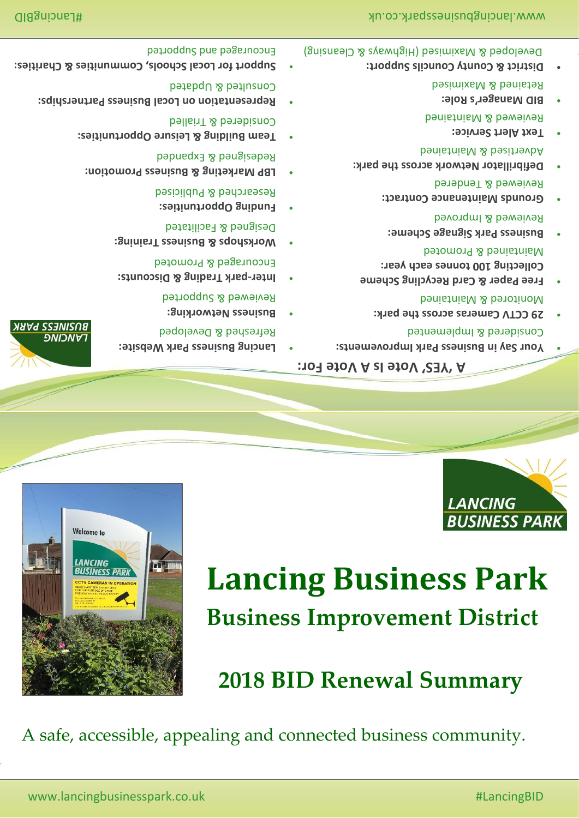A safe, accessible, appealing and connected business community.

# **2018 BID Renewal Summary**





# เมษา รรรมเรบล **DNIONA**

Welcome to

- **Lancing Business Park Website:** •
- **Business Networking:**  Reviewed & Supported

Refreshed & Developed

- **park Trading & Discounts: - Inter** Encouraged & Promoted
- **Workshops & Business Training:**  Designed & Facilitated
- **Funding Opportunities:**  Researched & Publicised
- LBP Marketing & Business Promotion: Redesigned & Expanded
- **Team Building & Leisure Opportunities:**  Considered & Trialled
- **Representation on Local Business Partnerships:**  Consulted & Updated
- for thes **Local Schools, Communities & Charities**: Encouraged and Supported

# **Vote Is A Vote For: ' YES ' A**

- **Your Say in Business Park Improvements:** Considered & Implemented
- **29 CCTV Cameras across the park:**  Monitored & Maintained
- **Free Paper & Card Recycling Scheme Collecting 100 tonnes each year:**  Maintained & Promoted
- **Business Park Signage Scheme:**  Reviewed & Improved
- **Grounds Maintenance Contract:** Reviewed & Tendered
- **Defibrillator Network across the park:**  Advertised & Maintained
- **Text Alert Service:**  Reviewed & Maintained
- **BID Manager's Role:**  Retained & Maximised
- **District & County Councils Support:** Developed & Maximised (Highways & Cleansing)